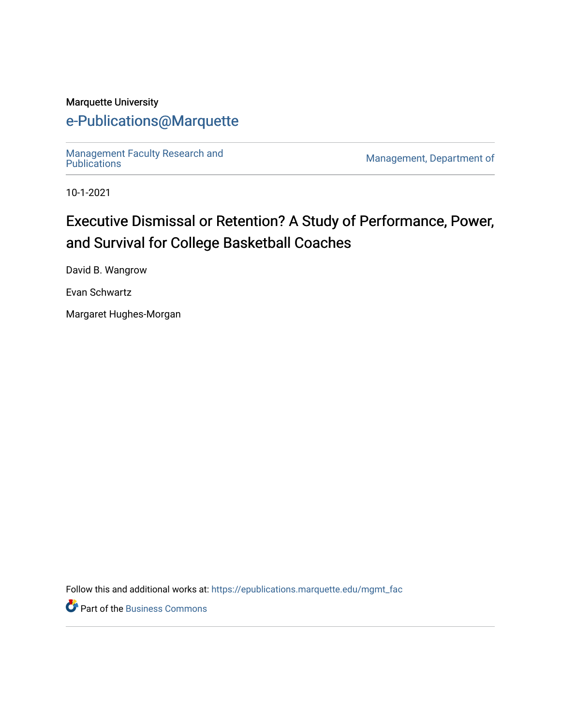#### Marquette University

# [e-Publications@Marquette](https://epublications.marquette.edu/)

Management Faculty Research and<br>Publications

Management, Department of

10-1-2021

# Executive Dismissal or Retention? A Study of Performance, Power, and Survival for College Basketball Coaches

David B. Wangrow

Evan Schwartz

Margaret Hughes-Morgan

Follow this and additional works at: [https://epublications.marquette.edu/mgmt\\_fac](https://epublications.marquette.edu/mgmt_fac?utm_source=epublications.marquette.edu%2Fmgmt_fac%2F353&utm_medium=PDF&utm_campaign=PDFCoverPages) 

**P** Part of the [Business Commons](http://network.bepress.com/hgg/discipline/622?utm_source=epublications.marquette.edu%2Fmgmt_fac%2F353&utm_medium=PDF&utm_campaign=PDFCoverPages)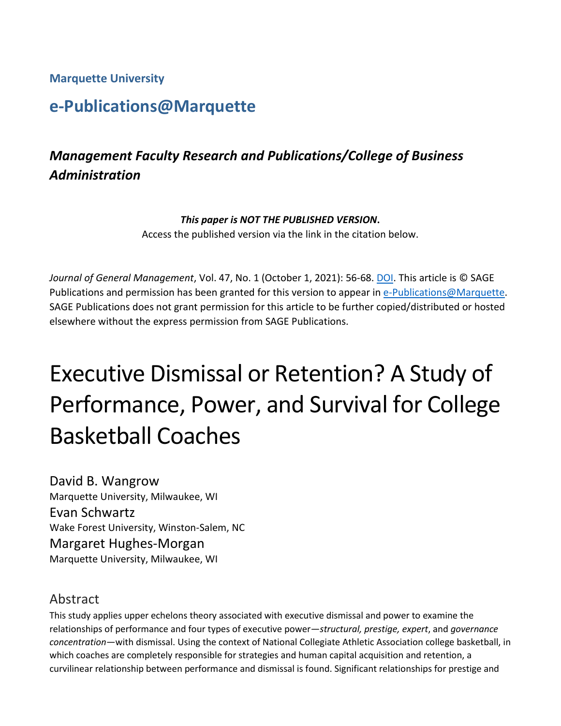**Marquette University**

# **e-Publications@Marquette**

# *Management Faculty Research and Publications/College of Business Administration*

#### *This paper is NOT THE PUBLISHED VERSION***.**

Access the published version via the link in the citation below.

*Journal of General Management*, Vol. 47, No. 1 (October 1, 2021): 56-68. [DOI.](https://doi.org/10.1177%2F03063070211018457) This article is © SAGE Publications and permission has been granted for this version to appear in [e-Publications@Marquette.](http://epublications.marquette.edu/) SAGE Publications does not grant permission for this article to be further copied/distributed or hosted elsewhere without the express permission from SAGE Publications.

# Executive Dismissal or Retention? A Study of Performance, Power, and Survival for College Basketball Coaches

David B. Wangrow Marquette University, Milwaukee, WI Evan Schwartz Wake Forest University, Winston-Salem, NC Margaret Hughes-Morgan Marquette University, Milwaukee, WI

#### Abstract

This study applies upper echelons theory associated with executive dismissal and power to examine the relationships of performance and four types of executive power—*structural, prestige, expert*, and *governance concentration*—with dismissal. Using the context of National Collegiate Athletic Association college basketball, in which coaches are completely responsible for strategies and human capital acquisition and retention, a curvilinear relationship between performance and dismissal is found. Significant relationships for prestige and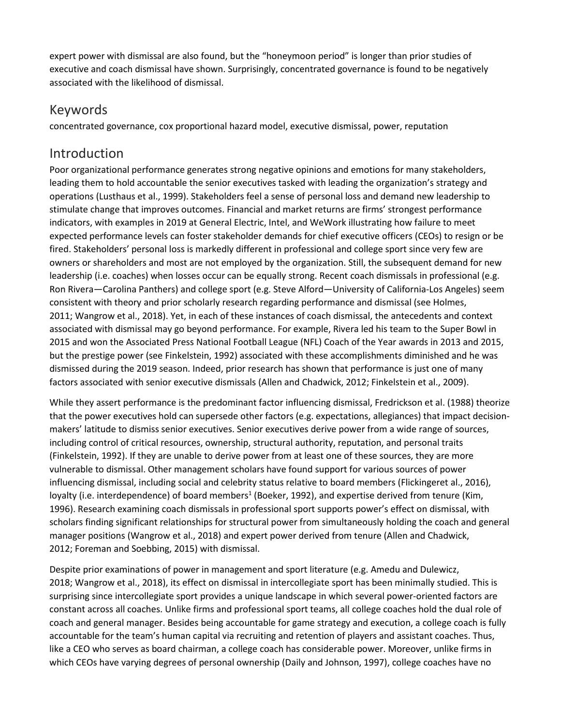expert power with dismissal are also found, but the "honeymoon period" is longer than prior studies of executive and coach dismissal have shown. Surprisingly, concentrated governance is found to be negatively associated with the likelihood of dismissal.

#### Keywords

concentrated governance, cox proportional hazard model, executive dismissal, power, reputation

#### Introduction

Poor organizational performance generates strong negative opinions and emotions for many stakeholders, leading them to hold accountable the senior executives tasked with leading the organization's strategy and operations (Lusthaus et al., 1999). Stakeholders feel a sense of personal loss and demand new leadership to stimulate change that improves outcomes. Financial and market returns are firms' strongest performance indicators, with examples in 2019 at General Electric, Intel, and WeWork illustrating how failure to meet expected performance levels can foster stakeholder demands for chief executive officers (CEOs) to resign or be fired. Stakeholders' personal loss is markedly different in professional and college sport since very few are owners or shareholders and most are not employed by the organization. Still, the subsequent demand for new leadership (i.e. coaches) when losses occur can be equally strong. Recent coach dismissals in professional (e.g. Ron Rivera—Carolina Panthers) and college sport (e.g. Steve Alford—University of California-Los Angeles) seem consistent with theory and prior scholarly research regarding performance and dismissal (see Holmes, 2011; Wangrow et al., 2018). Yet, in each of these instances of coach dismissal, the antecedents and context associated with dismissal may go beyond performance. For example, Rivera led his team to the Super Bowl in 2015 and won the Associated Press National Football League (NFL) Coach of the Year awards in 2013 and 2015, but the prestige power (see Finkelstein, 1992) associated with these accomplishments diminished and he was dismissed during the 2019 season. Indeed, prior research has shown that performance is just one of many factors associated with senior executive dismissals (Allen and Chadwick, 2012; Finkelstein et al., 2009).

While they assert performance is the predominant factor influencing dismissal, Fredrickson et al. (1988) theorize that the power executives hold can supersede other factors (e.g. expectations, allegiances) that impact decisionmakers' latitude to dismiss senior executives. Senior executives derive power from a wide range of sources, including control of critical resources, ownership, structural authority, reputation, and personal traits (Finkelstein, 1992). If they are unable to derive power from at least one of these sources, they are more vulnerable to dismissal. Other management scholars have found support for various sources of power influencing dismissal, including social and celebrity status relative to board members (Flickingeret al., 2016), loyalty (i.e. interdependence) of board members<sup>1</sup> (Boeker, 1992), and expertise derived from tenure (Kim, 1996). Research examining coach dismissals in professional sport supports power's effect on dismissal, with scholars finding significant relationships for structural power from simultaneously holding the coach and general manager positions (Wangrow et al., 2018) and expert power derived from tenure (Allen and Chadwick, 2012; Foreman and Soebbing, 2015) with dismissal.

Despite prior examinations of power in management and sport literature (e.g. Amedu and Dulewicz, 2018; Wangrow et al., 2018), its effect on dismissal in intercollegiate sport has been minimally studied. This is surprising since intercollegiate sport provides a unique landscape in which several power-oriented factors are constant across all coaches. Unlike firms and professional sport teams, all college coaches hold the dual role of coach and general manager. Besides being accountable for game strategy and execution, a college coach is fully accountable for the team's human capital via recruiting and retention of players and assistant coaches. Thus, like a CEO who serves as board chairman, a college coach has considerable power. Moreover, unlike firms in which CEOs have varying degrees of personal ownership (Daily and Johnson, 1997), college coaches have no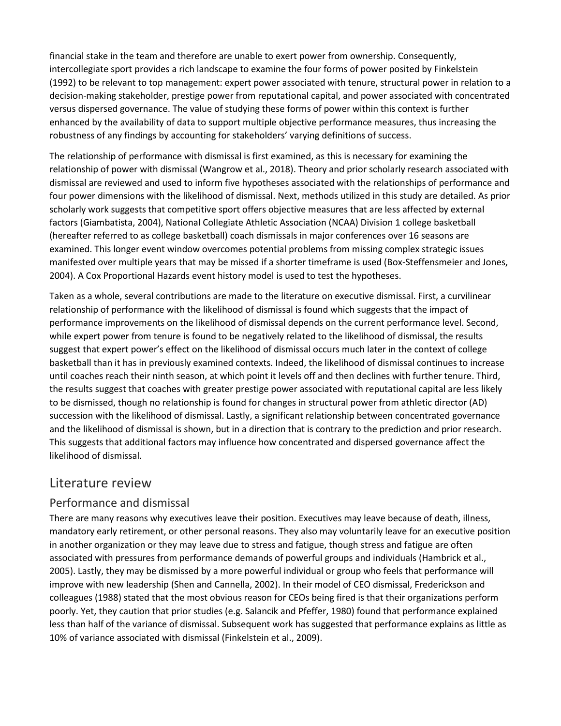financial stake in the team and therefore are unable to exert power from ownership. Consequently, intercollegiate sport provides a rich landscape to examine the four forms of power posited by Finkelstein (1992) to be relevant to top management: expert power associated with tenure, structural power in relation to a decision-making stakeholder, prestige power from reputational capital, and power associated with concentrated versus dispersed governance. The value of studying these forms of power within this context is further enhanced by the availability of data to support multiple objective performance measures, thus increasing the robustness of any findings by accounting for stakeholders' varying definitions of success.

The relationship of performance with dismissal is first examined, as this is necessary for examining the relationship of power with dismissal (Wangrow et al., 2018). Theory and prior scholarly research associated with dismissal are reviewed and used to inform five hypotheses associated with the relationships of performance and four power dimensions with the likelihood of dismissal. Next, methods utilized in this study are detailed. As prior scholarly work suggests that competitive sport offers objective measures that are less affected by external factors (Giambatista, 2004), National Collegiate Athletic Association (NCAA) Division 1 college basketball (hereafter referred to as college basketball) coach dismissals in major conferences over 16 seasons are examined. This longer event window overcomes potential problems from missing complex strategic issues manifested over multiple years that may be missed if a shorter timeframe is used (Box-Steffensmeier and Jones, 2004). A Cox Proportional Hazards event history model is used to test the hypotheses.

Taken as a whole, several contributions are made to the literature on executive dismissal. First, a curvilinear relationship of performance with the likelihood of dismissal is found which suggests that the impact of performance improvements on the likelihood of dismissal depends on the current performance level. Second, while expert power from tenure is found to be negatively related to the likelihood of dismissal, the results suggest that expert power's effect on the likelihood of dismissal occurs much later in the context of college basketball than it has in previously examined contexts. Indeed, the likelihood of dismissal continues to increase until coaches reach their ninth season, at which point it levels off and then declines with further tenure. Third, the results suggest that coaches with greater prestige power associated with reputational capital are less likely to be dismissed, though no relationship is found for changes in structural power from athletic director (AD) succession with the likelihood of dismissal. Lastly, a significant relationship between concentrated governance and the likelihood of dismissal is shown, but in a direction that is contrary to the prediction and prior research. This suggests that additional factors may influence how concentrated and dispersed governance affect the likelihood of dismissal.

#### Literature review

#### Performance and dismissal

There are many reasons why executives leave their position. Executives may leave because of death, illness, mandatory early retirement, or other personal reasons. They also may voluntarily leave for an executive position in another organization or they may leave due to stress and fatigue, though stress and fatigue are often associated with pressures from performance demands of powerful groups and individuals (Hambrick et al., 2005). Lastly, they may be dismissed by a more powerful individual or group who feels that performance will improve with new leadership (Shen and Cannella, 2002). In their model of CEO dismissal, Frederickson and colleagues (1988) stated that the most obvious reason for CEOs being fired is that their organizations perform poorly. Yet, they caution that prior studies (e.g. Salancik and Pfeffer, 1980) found that performance explained less than half of the variance of dismissal. Subsequent work has suggested that performance explains as little as 10% of variance associated with dismissal (Finkelstein et al., 2009).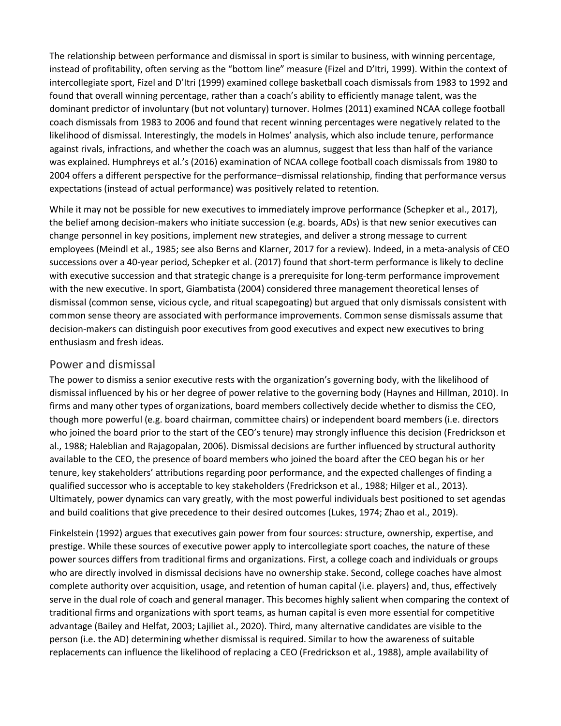The relationship between performance and dismissal in sport is similar to business, with winning percentage, instead of profitability, often serving as the "bottom line" measure (Fizel and D'Itri, 1999). Within the context of intercollegiate sport, Fizel and D'Itri (1999) examined college basketball coach dismissals from 1983 to 1992 and found that overall winning percentage, rather than a coach's ability to efficiently manage talent, was the dominant predictor of involuntary (but not voluntary) turnover. Holmes (2011) examined NCAA college football coach dismissals from 1983 to 2006 and found that recent winning percentages were negatively related to the likelihood of dismissal. Interestingly, the models in Holmes' analysis, which also include tenure, performance against rivals, infractions, and whether the coach was an alumnus, suggest that less than half of the variance was explained. Humphreys et al.'s (2016) examination of NCAA college football coach dismissals from 1980 to 2004 offers a different perspective for the performance–dismissal relationship, finding that performance versus expectations (instead of actual performance) was positively related to retention.

While it may not be possible for new executives to immediately improve performance (Schepker et al., 2017), the belief among decision-makers who initiate succession (e.g. boards, ADs) is that new senior executives can change personnel in key positions, implement new strategies, and deliver a strong message to current employees (Meindl et al., 1985; see also Berns and Klarner, 2017 for a review). Indeed, in a meta-analysis of CEO successions over a 40-year period, Schepker et al. (2017) found that short-term performance is likely to decline with executive succession and that strategic change is a prerequisite for long-term performance improvement with the new executive. In sport, Giambatista (2004) considered three management theoretical lenses of dismissal (common sense, vicious cycle, and ritual scapegoating) but argued that only dismissals consistent with common sense theory are associated with performance improvements. Common sense dismissals assume that decision-makers can distinguish poor executives from good executives and expect new executives to bring enthusiasm and fresh ideas.

#### Power and dismissal

The power to dismiss a senior executive rests with the organization's governing body, with the likelihood of dismissal influenced by his or her degree of power relative to the governing body (Haynes and Hillman, 2010). In firms and many other types of organizations, board members collectively decide whether to dismiss the CEO, though more powerful (e.g. board chairman, committee chairs) or independent board members (i.e. directors who joined the board prior to the start of the CEO's tenure) may strongly influence this decision (Fredrickson et al., 1988; Haleblian and Rajagopalan, 2006). Dismissal decisions are further influenced by structural authority available to the CEO, the presence of board members who joined the board after the CEO began his or her tenure, key stakeholders' attributions regarding poor performance, and the expected challenges of finding a qualified successor who is acceptable to key stakeholders (Fredrickson et al., 1988; Hilger et al., 2013). Ultimately, power dynamics can vary greatly, with the most powerful individuals best positioned to set agendas and build coalitions that give precedence to their desired outcomes (Lukes, 1974; Zhao et al., 2019).

Finkelstein (1992) argues that executives gain power from four sources: structure, ownership, expertise, and prestige. While these sources of executive power apply to intercollegiate sport coaches, the nature of these power sources differs from traditional firms and organizations. First, a college coach and individuals or groups who are directly involved in dismissal decisions have no ownership stake. Second, college coaches have almost complete authority over acquisition, usage, and retention of human capital (i.e. players) and, thus, effectively serve in the dual role of coach and general manager. This becomes highly salient when comparing the context of traditional firms and organizations with sport teams, as human capital is even more essential for competitive advantage (Bailey and Helfat, 2003; Lajiliet al., 2020). Third, many alternative candidates are visible to the person (i.e. the AD) determining whether dismissal is required. Similar to how the awareness of suitable replacements can influence the likelihood of replacing a CEO (Fredrickson et al., 1988), ample availability of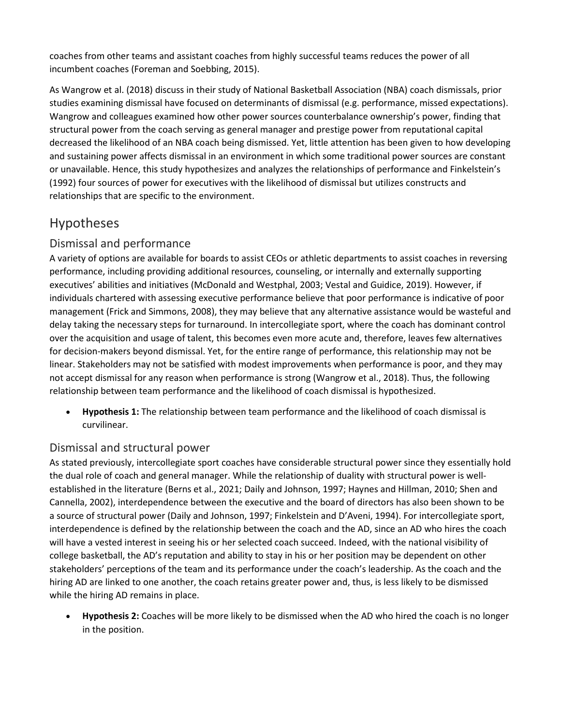coaches from other teams and assistant coaches from highly successful teams reduces the power of all incumbent coaches (Foreman and Soebbing, 2015).

As Wangrow et al. (2018) discuss in their study of National Basketball Association (NBA) coach dismissals, prior studies examining dismissal have focused on determinants of dismissal (e.g. performance, missed expectations). Wangrow and colleagues examined how other power sources counterbalance ownership's power, finding that structural power from the coach serving as general manager and prestige power from reputational capital decreased the likelihood of an NBA coach being dismissed. Yet, little attention has been given to how developing and sustaining power affects dismissal in an environment in which some traditional power sources are constant or unavailable. Hence, this study hypothesizes and analyzes the relationships of performance and Finkelstein's (1992) four sources of power for executives with the likelihood of dismissal but utilizes constructs and relationships that are specific to the environment.

# Hypotheses

#### Dismissal and performance

A variety of options are available for boards to assist CEOs or athletic departments to assist coaches in reversing performance, including providing additional resources, counseling, or internally and externally supporting executives' abilities and initiatives (McDonald and Westphal, 2003; Vestal and Guidice, 2019). However, if individuals chartered with assessing executive performance believe that poor performance is indicative of poor management (Frick and Simmons, 2008), they may believe that any alternative assistance would be wasteful and delay taking the necessary steps for turnaround. In intercollegiate sport, where the coach has dominant control over the acquisition and usage of talent, this becomes even more acute and, therefore, leaves few alternatives for decision-makers beyond dismissal. Yet, for the entire range of performance, this relationship may not be linear. Stakeholders may not be satisfied with modest improvements when performance is poor, and they may not accept dismissal for any reason when performance is strong (Wangrow et al., 2018). Thus, the following relationship between team performance and the likelihood of coach dismissal is hypothesized.

• **Hypothesis 1:** The relationship between team performance and the likelihood of coach dismissal is curvilinear.

#### Dismissal and structural power

As stated previously, intercollegiate sport coaches have considerable structural power since they essentially hold the dual role of coach and general manager. While the relationship of duality with structural power is wellestablished in the literature (Berns et al., 2021; Daily and Johnson, 1997; Haynes and Hillman, 2010; Shen and Cannella, 2002), interdependence between the executive and the board of directors has also been shown to be a source of structural power (Daily and Johnson, 1997; Finkelstein and D'Aveni, 1994). For intercollegiate sport, interdependence is defined by the relationship between the coach and the AD, since an AD who hires the coach will have a vested interest in seeing his or her selected coach succeed. Indeed, with the national visibility of college basketball, the AD's reputation and ability to stay in his or her position may be dependent on other stakeholders' perceptions of the team and its performance under the coach's leadership. As the coach and the hiring AD are linked to one another, the coach retains greater power and, thus, is less likely to be dismissed while the hiring AD remains in place.

• **Hypothesis 2:** Coaches will be more likely to be dismissed when the AD who hired the coach is no longer in the position.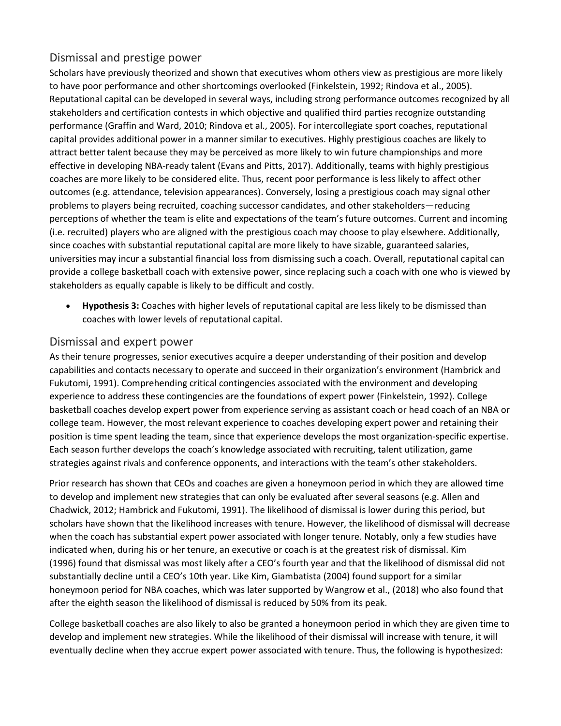#### Dismissal and prestige power

Scholars have previously theorized and shown that executives whom others view as prestigious are more likely to have poor performance and other shortcomings overlooked (Finkelstein, 1992; Rindova et al., 2005). Reputational capital can be developed in several ways, including strong performance outcomes recognized by all stakeholders and certification contests in which objective and qualified third parties recognize outstanding performance (Graffin and Ward, 2010; Rindova et al., 2005). For intercollegiate sport coaches, reputational capital provides additional power in a manner similar to executives. Highly prestigious coaches are likely to attract better talent because they may be perceived as more likely to win future championships and more effective in developing NBA-ready talent (Evans and Pitts, 2017). Additionally, teams with highly prestigious coaches are more likely to be considered elite. Thus, recent poor performance is less likely to affect other outcomes (e.g. attendance, television appearances). Conversely, losing a prestigious coach may signal other problems to players being recruited, coaching successor candidates, and other stakeholders—reducing perceptions of whether the team is elite and expectations of the team's future outcomes. Current and incoming (i.e. recruited) players who are aligned with the prestigious coach may choose to play elsewhere. Additionally, since coaches with substantial reputational capital are more likely to have sizable, guaranteed salaries, universities may incur a substantial financial loss from dismissing such a coach. Overall, reputational capital can provide a college basketball coach with extensive power, since replacing such a coach with one who is viewed by stakeholders as equally capable is likely to be difficult and costly.

• **Hypothesis 3:** Coaches with higher levels of reputational capital are less likely to be dismissed than coaches with lower levels of reputational capital.

#### Dismissal and expert power

As their tenure progresses, senior executives acquire a deeper understanding of their position and develop capabilities and contacts necessary to operate and succeed in their organization's environment (Hambrick and Fukutomi, 1991). Comprehending critical contingencies associated with the environment and developing experience to address these contingencies are the foundations of expert power (Finkelstein, 1992). College basketball coaches develop expert power from experience serving as assistant coach or head coach of an NBA or college team. However, the most relevant experience to coaches developing expert power and retaining their position is time spent leading the team, since that experience develops the most organization-specific expertise. Each season further develops the coach's knowledge associated with recruiting, talent utilization, game strategies against rivals and conference opponents, and interactions with the team's other stakeholders.

Prior research has shown that CEOs and coaches are given a honeymoon period in which they are allowed time to develop and implement new strategies that can only be evaluated after several seasons (e.g. Allen and Chadwick, 2012; Hambrick and Fukutomi, 1991). The likelihood of dismissal is lower during this period, but scholars have shown that the likelihood increases with tenure. However, the likelihood of dismissal will decrease when the coach has substantial expert power associated with longer tenure. Notably, only a few studies have indicated when, during his or her tenure, an executive or coach is at the greatest risk of dismissal. Kim (1996) found that dismissal was most likely after a CEO's fourth year and that the likelihood of dismissal did not substantially decline until a CEO's 10th year. Like Kim, Giambatista (2004) found support for a similar honeymoon period for NBA coaches, which was later supported by Wangrow et al., (2018) who also found that after the eighth season the likelihood of dismissal is reduced by 50% from its peak.

College basketball coaches are also likely to also be granted a honeymoon period in which they are given time to develop and implement new strategies. While the likelihood of their dismissal will increase with tenure, it will eventually decline when they accrue expert power associated with tenure. Thus, the following is hypothesized: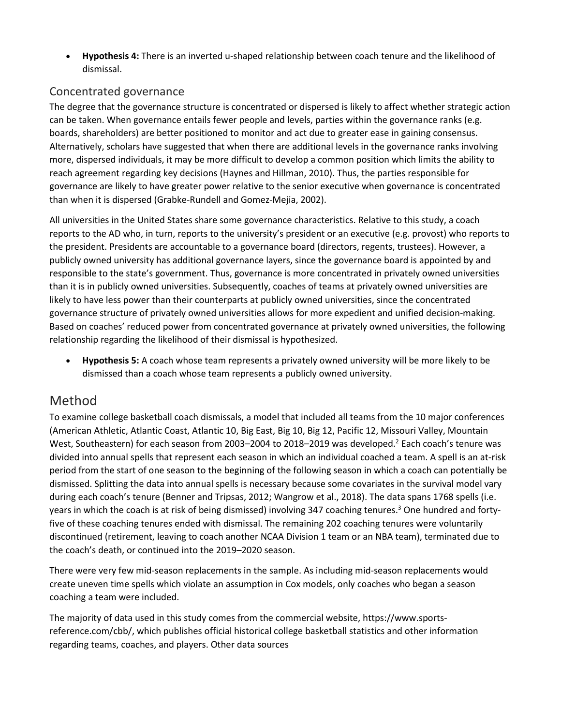• **Hypothesis 4:** There is an inverted u-shaped relationship between coach tenure and the likelihood of dismissal.

#### Concentrated governance

The degree that the governance structure is concentrated or dispersed is likely to affect whether strategic action can be taken. When governance entails fewer people and levels, parties within the governance ranks (e.g. boards, shareholders) are better positioned to monitor and act due to greater ease in gaining consensus. Alternatively, scholars have suggested that when there are additional levels in the governance ranks involving more, dispersed individuals, it may be more difficult to develop a common position which limits the ability to reach agreement regarding key decisions (Haynes and Hillman, 2010). Thus, the parties responsible for governance are likely to have greater power relative to the senior executive when governance is concentrated than when it is dispersed (Grabke-Rundell and Gomez-Mejia, 2002).

All universities in the United States share some governance characteristics. Relative to this study, a coach reports to the AD who, in turn, reports to the university's president or an executive (e.g. provost) who reports to the president. Presidents are accountable to a governance board (directors, regents, trustees). However, a publicly owned university has additional governance layers, since the governance board is appointed by and responsible to the state's government. Thus, governance is more concentrated in privately owned universities than it is in publicly owned universities. Subsequently, coaches of teams at privately owned universities are likely to have less power than their counterparts at publicly owned universities, since the concentrated governance structure of privately owned universities allows for more expedient and unified decision-making. Based on coaches' reduced power from concentrated governance at privately owned universities, the following relationship regarding the likelihood of their dismissal is hypothesized.

• **Hypothesis 5:** A coach whose team represents a privately owned university will be more likely to be dismissed than a coach whose team represents a publicly owned university.

## Method

To examine college basketball coach dismissals, a model that included all teams from the 10 major conferences (American Athletic, Atlantic Coast, Atlantic 10, Big East, Big 10, Big 12, Pacific 12, Missouri Valley, Mountain West, Southeastern) for each season from 2003–2004 to 2018–2019 was developed.<sup>2</sup> Each coach's tenure was divided into annual spells that represent each season in which an individual coached a team. A spell is an at-risk period from the start of one season to the beginning of the following season in which a coach can potentially be dismissed. Splitting the data into annual spells is necessary because some covariates in the survival model vary during each coach's tenure (Benner and Tripsas, 2012; Wangrow et al., 2018). The data spans 1768 spells (i.e. years in which the coach is at risk of being dismissed) involving 347 coaching tenures.<sup>3</sup> One hundred and fortyfive of these coaching tenures ended with dismissal. The remaining 202 coaching tenures were voluntarily discontinued (retirement, leaving to coach another NCAA Division 1 team or an NBA team), terminated due to the coach's death, or continued into the 2019–2020 season.

There were very few mid-season replacements in the sample. As including mid-season replacements would create uneven time spells which violate an assumption in Cox models, only coaches who began a season coaching a team were included.

The majority of data used in this study comes from the commercial website, https://www.sportsreference.com/cbb/, which publishes official historical college basketball statistics and other information regarding teams, coaches, and players. Other data sources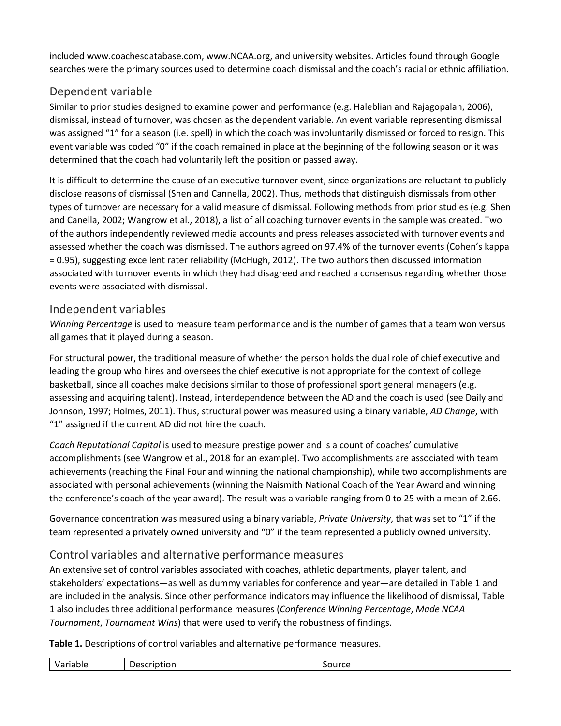included www.coachesdatabase.com, www.NCAA.org, and university websites. Articles found through Google searches were the primary sources used to determine coach dismissal and the coach's racial or ethnic affiliation.

#### Dependent variable

Similar to prior studies designed to examine power and performance (e.g. Haleblian and Rajagopalan, 2006), dismissal, instead of turnover, was chosen as the dependent variable. An event variable representing dismissal was assigned "1" for a season (i.e. spell) in which the coach was involuntarily dismissed or forced to resign. This event variable was coded "0" if the coach remained in place at the beginning of the following season or it was determined that the coach had voluntarily left the position or passed away.

It is difficult to determine the cause of an executive turnover event, since organizations are reluctant to publicly disclose reasons of dismissal (Shen and Cannella, 2002). Thus, methods that distinguish dismissals from other types of turnover are necessary for a valid measure of dismissal. Following methods from prior studies (e.g. Shen and Canella, 2002; Wangrow et al., 2018), a list of all coaching turnover events in the sample was created. Two of the authors independently reviewed media accounts and press releases associated with turnover events and assessed whether the coach was dismissed. The authors agreed on 97.4% of the turnover events (Cohen's kappa = 0.95), suggesting excellent rater reliability (McHugh, 2012). The two authors then discussed information associated with turnover events in which they had disagreed and reached a consensus regarding whether those events were associated with dismissal.

#### Independent variables

*Winning Percentage* is used to measure team performance and is the number of games that a team won versus all games that it played during a season.

For structural power, the traditional measure of whether the person holds the dual role of chief executive and leading the group who hires and oversees the chief executive is not appropriate for the context of college basketball, since all coaches make decisions similar to those of professional sport general managers (e.g. assessing and acquiring talent). Instead, interdependence between the AD and the coach is used (see Daily and Johnson, 1997; Holmes, 2011). Thus, structural power was measured using a binary variable, *AD Change*, with "1" assigned if the current AD did not hire the coach.

*Coach Reputational Capital* is used to measure prestige power and is a count of coaches' cumulative accomplishments (see Wangrow et al., 2018 for an example). Two accomplishments are associated with team achievements (reaching the Final Four and winning the national championship), while two accomplishments are associated with personal achievements (winning the Naismith National Coach of the Year Award and winning the conference's coach of the year award). The result was a variable ranging from 0 to 25 with a mean of 2.66.

Governance concentration was measured using a binary variable, *Private University*, that was set to "1" if the team represented a privately owned university and "0" if the team represented a publicly owned university.

#### Control variables and alternative performance measures

An extensive set of control variables associated with coaches, athletic departments, player talent, and stakeholders' expectations—as well as dummy variables for conference and year—are detailed in Table 1 and are included in the analysis. Since other performance indicators may influence the likelihood of dismissal, Table 1 also includes three additional performance measures (*Conference Winning Percentage*, *Made NCAA Tournament*, *Tournament Wins*) that were used to verify the robustness of findings.

**Table 1.** Descriptions of control variables and alternative performance measures.

| . | -<br>4٠<br>.<br>- - - | $ -$<br>$-$ |
|---|-----------------------|-------------|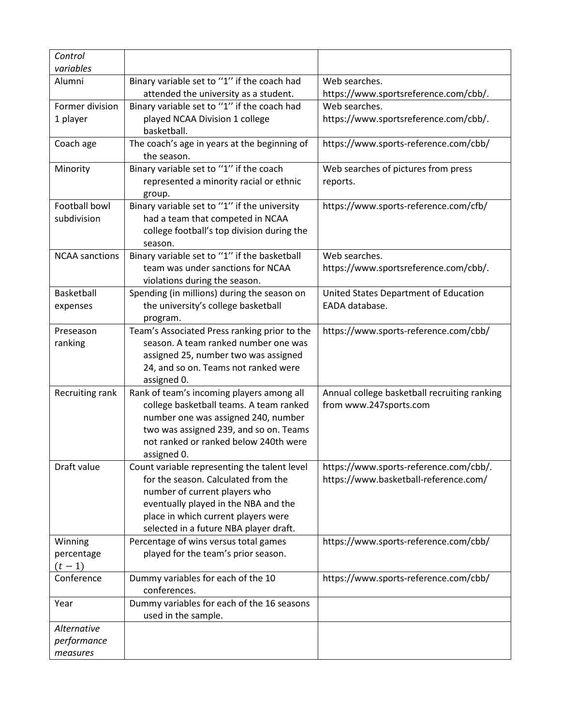| Control<br>variables  |                                                                                      |                                                                        |
|-----------------------|--------------------------------------------------------------------------------------|------------------------------------------------------------------------|
|                       |                                                                                      | Web searches.                                                          |
| Alumni                | Binary variable set to "1" if the coach had                                          |                                                                        |
|                       | attended the university as a student.                                                | https://www.sportsreference.com/cbb/.                                  |
| Former division       | Binary variable set to "1" if the coach had                                          | Web searches.                                                          |
| 1 player              | played NCAA Division 1 college                                                       | https://www.sportsreference.com/cbb/.                                  |
|                       | basketball.                                                                          |                                                                        |
| Coach age             | The coach's age in years at the beginning of                                         | https://www.sports-reference.com/cbb/                                  |
|                       | the season.                                                                          |                                                                        |
| Minority              | Binary variable set to "1" if the coach                                              | Web searches of pictures from press                                    |
|                       | represented a minority racial or ethnic                                              | reports.                                                               |
|                       | group.                                                                               |                                                                        |
| Football bowl         | Binary variable set to "1" if the university                                         | https://www.sports-reference.com/cfb/                                  |
| subdivision           | had a team that competed in NCAA                                                     |                                                                        |
|                       | college football's top division during the                                           |                                                                        |
|                       | season.                                                                              |                                                                        |
| <b>NCAA</b> sanctions | Binary variable set to "1" if the basketball                                         | Web searches.                                                          |
|                       | team was under sanctions for NCAA                                                    | https://www.sportsreference.com/cbb/.                                  |
|                       | violations during the season.                                                        |                                                                        |
| Basketball            | Spending (in millions) during the season on                                          | United States Department of Education                                  |
| expenses              | the university's college basketball                                                  | EADA database.                                                         |
|                       | program.                                                                             |                                                                        |
| Preseason             | Team's Associated Press ranking prior to the<br>season. A team ranked number one was | https://www.sports-reference.com/cbb/                                  |
| ranking               |                                                                                      |                                                                        |
|                       | assigned 25, number two was assigned                                                 |                                                                        |
|                       | 24, and so on. Teams not ranked were                                                 |                                                                        |
|                       | assigned 0.                                                                          |                                                                        |
| Recruiting rank       | Rank of team's incoming players among all<br>college basketball teams. A team ranked | Annual college basketball recruiting ranking<br>from www.247sports.com |
|                       | number one was assigned 240, number                                                  |                                                                        |
|                       | two was assigned 239, and so on. Teams                                               |                                                                        |
|                       | not ranked or ranked below 240th were                                                |                                                                        |
|                       | assigned 0.                                                                          |                                                                        |
| Draft value           | Count variable representing the talent level                                         | https://www.sports-reference.com/cbb/.                                 |
|                       | for the season. Calculated from the                                                  | https://www.basketball-reference.com/                                  |
|                       | number of current players who                                                        |                                                                        |
|                       | eventually played in the NBA and the                                                 |                                                                        |
|                       | place in which current players were                                                  |                                                                        |
|                       | selected in a future NBA player draft.                                               |                                                                        |
| Winning               | Percentage of wins versus total games                                                | https://www.sports-reference.com/cbb/                                  |
| percentage            | played for the team's prior season.                                                  |                                                                        |
| $(t - 1)$             |                                                                                      |                                                                        |
| Conference            | Dummy variables for each of the 10                                                   | https://www.sports-reference.com/cbb/                                  |
|                       | conferences.                                                                         |                                                                        |
| Year                  | Dummy variables for each of the 16 seasons                                           |                                                                        |
|                       | used in the sample.                                                                  |                                                                        |
| Alternative           |                                                                                      |                                                                        |
| performance           |                                                                                      |                                                                        |
| measures              |                                                                                      |                                                                        |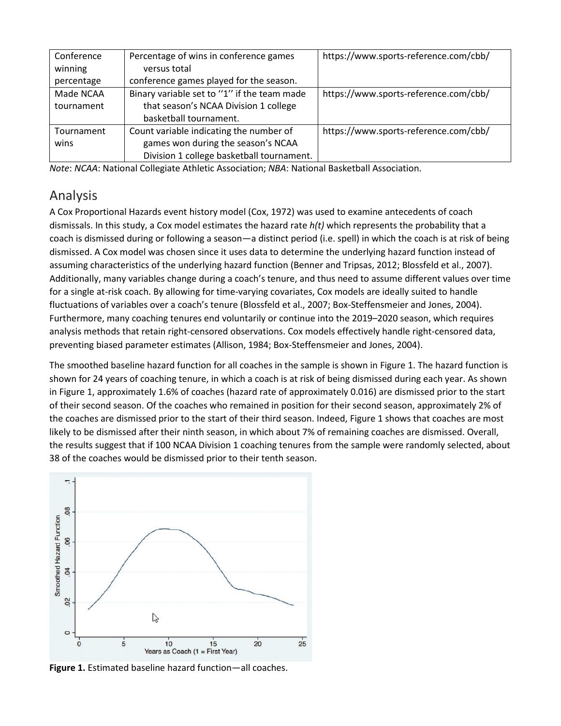| Conference | Percentage of wins in conference games      | https://www.sports-reference.com/cbb/ |
|------------|---------------------------------------------|---------------------------------------|
| winning    | versus total                                |                                       |
| percentage | conference games played for the season.     |                                       |
| Made NCAA  | Binary variable set to "1" if the team made | https://www.sports-reference.com/cbb/ |
| tournament | that season's NCAA Division 1 college       |                                       |
|            | basketball tournament.                      |                                       |
| Tournament | Count variable indicating the number of     | https://www.sports-reference.com/cbb/ |
| wins       | games won during the season's NCAA          |                                       |
|            | Division 1 college basketball tournament.   |                                       |

*Note*: *NCAA*: National Collegiate Athletic Association; *NBA*: National Basketball Association.

## Analysis

A Cox Proportional Hazards event history model (Cox, 1972) was used to examine antecedents of coach dismissals. In this study, a Cox model estimates the hazard rate *h(t)* which represents the probability that a coach is dismissed during or following a season—a distinct period (i.e. spell) in which the coach is at risk of being dismissed. A Cox model was chosen since it uses data to determine the underlying hazard function instead of assuming characteristics of the underlying hazard function (Benner and Tripsas, 2012; Blossfeld et al., 2007). Additionally, many variables change during a coach's tenure, and thus need to assume different values over time for a single at-risk coach. By allowing for time-varying covariates, Cox models are ideally suited to handle fluctuations of variables over a coach's tenure (Blossfeld et al., 2007; Box-Steffensmeier and Jones, 2004). Furthermore, many coaching tenures end voluntarily or continue into the 2019–2020 season, which requires analysis methods that retain right-censored observations. Cox models effectively handle right-censored data, preventing biased parameter estimates (Allison, 1984; Box-Steffensmeier and Jones, 2004).

The smoothed baseline hazard function for all coaches in the sample is shown in Figure 1. The hazard function is shown for 24 years of coaching tenure, in which a coach is at risk of being dismissed during each year. As shown in Figure 1, approximately 1.6% of coaches (hazard rate of approximately 0.016) are dismissed prior to the start of their second season. Of the coaches who remained in position for their second season, approximately 2% of the coaches are dismissed prior to the start of their third season. Indeed, Figure 1 shows that coaches are most likely to be dismissed after their ninth season, in which about 7% of remaining coaches are dismissed. Overall, the results suggest that if 100 NCAA Division 1 coaching tenures from the sample were randomly selected, about 38 of the coaches would be dismissed prior to their tenth season.



**Figure 1.** Estimated baseline hazard function—all coaches.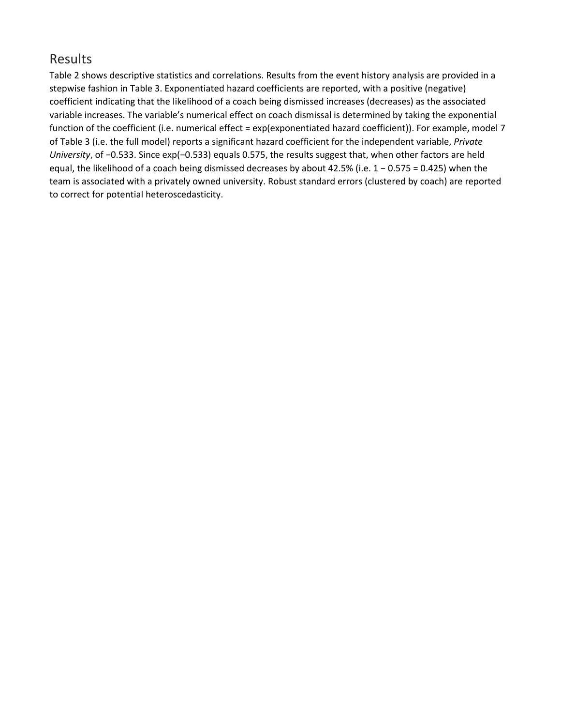#### Results

Table 2 shows descriptive statistics and correlations. Results from the event history analysis are provided in a stepwise fashion in Table 3. Exponentiated hazard coefficients are reported, with a positive (negative) coefficient indicating that the likelihood of a coach being dismissed increases (decreases) as the associated variable increases. The variable's numerical effect on coach dismissal is determined by taking the exponential function of the coefficient (i.e. numerical effect = exp(exponentiated hazard coefficient)). For example, model 7 of Table 3 (i.e. the full model) reports a significant hazard coefficient for the independent variable, *Private University*, of −0.533. Since exp(−0.533) equals 0.575, the results suggest that, when other factors are held equal, the likelihood of a coach being dismissed decreases by about 42.5% (i.e. 1 − 0.575 = 0.425) when the team is associated with a privately owned university. Robust standard errors (clustered by coach) are reported to correct for potential heteroscedasticity.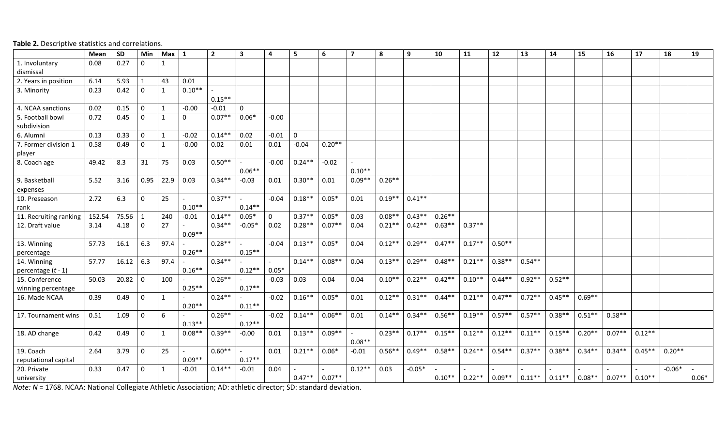|                                      | Mean   | <b>SD</b> | Min         | Max          | 1            | $\overline{2}$ | $\overline{\mathbf{3}}$ | $\overline{a}$ | 5           | 6        | $\overline{ }$ | 8        | 9        | 10       | 11       | 12       | 13        | 14        | 15        | 16       | 17       | 18       | 19      |
|--------------------------------------|--------|-----------|-------------|--------------|--------------|----------------|-------------------------|----------------|-------------|----------|----------------|----------|----------|----------|----------|----------|-----------|-----------|-----------|----------|----------|----------|---------|
| 1. Involuntary<br>dismissal          | 0.08   | 0.27      | $\Omega$    | 1            |              |                |                         |                |             |          |                |          |          |          |          |          |           |           |           |          |          |          |         |
| 2. Years in position                 | 6.14   | 5.93      |             | 43           | 0.01         |                |                         |                |             |          |                |          |          |          |          |          |           |           |           |          |          |          |         |
| 3. Minority                          | 0.23   | 0.42      | $\Omega$    | $\mathbf{1}$ | $0.10**$     | $0.15***$      |                         |                |             |          |                |          |          |          |          |          |           |           |           |          |          |          |         |
| 4. NCAA sanctions                    | 0.02   | 0.15      | $\mathbf 0$ | $\mathbf{1}$ | $-0.00$      | $-0.01$        | $\mathbf 0$             |                |             |          |                |          |          |          |          |          |           |           |           |          |          |          |         |
| 5. Football bowl<br>subdivision      | 0.72   | 0.45      | $\Omega$    | 1            | <sup>0</sup> | $0.07**$       | $0.06*$                 | $-0.00$        |             |          |                |          |          |          |          |          |           |           |           |          |          |          |         |
| 6. Alumni                            | 0.13   | 0.33      | $\mathbf 0$ | $\mathbf{1}$ | $-0.02$      | $0.14**$       | 0.02                    | $-0.01$        | $\mathbf 0$ |          |                |          |          |          |          |          |           |           |           |          |          |          |         |
| 7. Former division 1<br>player       | 0.58   | 0.49      | $\Omega$    | $\mathbf{1}$ | $-0.00$      | 0.02           | 0.01                    | 0.01           | $-0.04$     | $0.20**$ |                |          |          |          |          |          |           |           |           |          |          |          |         |
| 8. Coach age                         | 49.42  | 8.3       | 31          | 75           | 0.03         | $0.50**$       | $0.06**$                | $-0.00$        | $0.24**$    | $-0.02$  | $0.10**$       |          |          |          |          |          |           |           |           |          |          |          |         |
| 9. Basketball<br>expenses            | 5.52   | 3.16      | 0.95        | 22.9         | 0.03         | $0.34**$       | $-0.03$                 | 0.01           | $0.30**$    | 0.01     | $0.09**$       | $0.26**$ |          |          |          |          |           |           |           |          |          |          |         |
| 10. Preseason<br>rank                | 2.72   | 6.3       | 0           | 25           | $0.10**$     | $0.37**$       | $0.14**$                | $-0.04$        | $0.18**$    | $0.05*$  | 0.01           | $0.19**$ | $0.41**$ |          |          |          |           |           |           |          |          |          |         |
| 11. Recruiting ranking               | 152.54 | 75.56     |             | 240          | $-0.01$      | $0.14**$       | $0.05*$                 | $\Omega$       | $0.37**$    | $0.05*$  | 0.03           | $0.08**$ | $0.43**$ | $0.26**$ |          |          |           |           |           |          |          |          |         |
| 12. Draft value                      | 3.14   | 4.18      | 0           | 27           | $0.09**$     | $0.34**$       | $-0.05*$                | 0.02           | $0.28**$    | $0.07**$ | 0.04           | $0.21**$ | $0.42**$ | $0.63**$ | $0.37**$ |          |           |           |           |          |          |          |         |
| 13. Winning<br>percentage            | 57.73  | 16.1      | 6.3         | 97.4         | $0.26**$     | $0.28**$       | $0.15**$                | $-0.04$        | $0.13**$    | $0.05*$  | 0.04           | $0.12**$ | $0.29**$ | $0.47**$ | $0.17**$ | $0.50**$ |           |           |           |          |          |          |         |
| 14. Winning<br>percentage $(t - 1)$  | 57.77  | 16.12     | 6.3         | 97.4         | $0.16***$    | $0.34**$       | $0.12**$                | $0.05*$        | $0.14**$    | $0.08**$ | 0.04           | $0.13**$ | $0.29**$ | $0.48**$ | $0.21**$ | $0.38**$ | $0.54**$  |           |           |          |          |          |         |
| 15. Conference<br>winning percentage | 50.03  | 20.82     | 0           | 100          | $0.25**$     | $0.26**$       | $0.17**$                | $-0.03$        | 0.03        | 0.04     | 0.04           | $0.10**$ | $0.22**$ | $0.42**$ | $0.10**$ | $0.44**$ | $0.92**$  | $0.52**$  |           |          |          |          |         |
| 16. Made NCAA                        | 0.39   | 0.49      | 0           | $\mathbf{1}$ | $0.20**$     | $0.24**$       | $0.11**$                | $-0.02$        | $0.16**$    | $0.05*$  | 0.01           | $0.12**$ | $0.31**$ | $0.44**$ | $0.21**$ | $0.47**$ | $0.72**$  | $0.45**$  | $0.69**$  |          |          |          |         |
| 17. Tournament wins                  | 0.51   | 1.09      | 0           | 6            | $0.13***$    | $0.26**$       | $0.12**$                | $-0.02$        | $0.14**$    | $0.06**$ | 0.01           | $0.14**$ | $0.34**$ | $0.56**$ | $0.19**$ | $0.57**$ | $0.57**$  | $0.38**$  | $0.51**$  | $0.58**$ |          |          |         |
| 18. AD change                        | 0.42   | 0.49      | 0           | $\mathbf{1}$ | $0.08**$     | $0.39**$       | $-0.00$                 | 0.01           | $0.13**$    | $0.09**$ | $0.08**$       | $0.23**$ | $0.17**$ | $0.15**$ | $0.12**$ | $0.12**$ | $0.11**$  | $0.15**$  | $0.20**$  | $0.07**$ | $0.12**$ |          |         |
| 19. Coach<br>reputational capital    | 2.64   | 3.79      | 0           | 25           | $0.09**$     | $0.60**$       | $0.17**$                | 0.01           | $0.21**$    | $0.06*$  | $-0.01$        | $0.56**$ | $0.49**$ | $0.58**$ | $0.24**$ | $0.54**$ | $0.37**$  | $0.38**$  | $0.34**$  | $0.34**$ | $0.45**$ | $0.20**$ |         |
| 20. Private<br>university            | 0.33   | 0.47      | 0           | $\mathbf{1}$ | $-0.01$      | $0.14**$       | $-0.01$                 | 0.04           | $0.47**$    | $0.07**$ | $0.12**$       | 0.03     | $-0.05*$ | $0.10**$ | $0.22**$ | $0.09**$ | $0.11***$ | $0.11***$ | $0.08***$ | $0.07**$ | $0.10**$ | $-0.06*$ | $0.06*$ |

**Table 2.** Descriptive statistics and correlations.

*Note: N* = 1768. NCAA: National Collegiate Athletic Association; AD: athletic director; SD: standard deviation.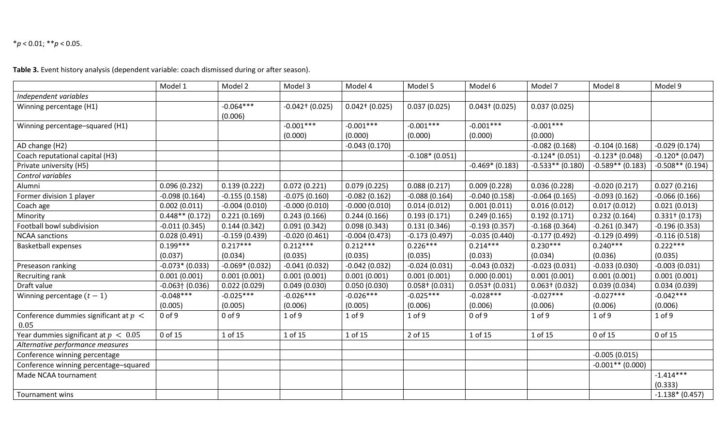#### \**p* < 0.01; \*\**p* < 0.05.

**Table 3.** Event history analysis (dependent variable: coach dismissed during or after season).

|                                         | Model 1            | Model 2           | Model 3              | Model 4             | Model 5           | Model 6           | Model 7            | Model 8            | Model 9             |
|-----------------------------------------|--------------------|-------------------|----------------------|---------------------|-------------------|-------------------|--------------------|--------------------|---------------------|
| Independent variables                   |                    |                   |                      |                     |                   |                   |                    |                    |                     |
| Winning percentage (H1)                 |                    | $-0.064***$       | $-0.042$ † $(0.025)$ | $0.042$ † $(0.025)$ | 0.037(0.025)      | $0.043 + (0.025)$ | 0.037(0.025)       |                    |                     |
|                                         |                    | (0.006)           |                      |                     |                   |                   |                    |                    |                     |
| Winning percentage-squared (H1)         |                    |                   | $-0.001***$          | $-0.001***$         | $-0.001***$       | $-0.001***$       | $-0.001***$        |                    |                     |
|                                         |                    |                   | (0.000)              | (0.000)             | (0.000)           | (0.000)           | (0.000)            |                    |                     |
| AD change (H2)                          |                    |                   |                      | $-0.043(0.170)$     |                   |                   | $-0.082(0.168)$    | $-0.104(0.168)$    | $-0.029(0.174)$     |
| Coach reputational capital (H3)         |                    |                   |                      |                     | $-0.108*(0.051)$  |                   | $-0.124*(0.051)$   | $-0.123*(0.048)$   | $-0.120*(0.047)$    |
| Private university (H5)                 |                    |                   |                      |                     |                   | $-0.469*$ (0.183) | $-0.533**$ (0.180) | $-0.589**$ (0.183) | $-0.508**$ (0.194)  |
| Control variables                       |                    |                   |                      |                     |                   |                   |                    |                    |                     |
| Alumni                                  | 0.096(0.232)       | 0.139(0.222)      | 0.072(0.221)         | 0.079(0.225)        | 0.088(0.217)      | 0.009(0.228)      | 0.036(0.228)       | $-0.020(0.217)$    | 0.027(0.216)        |
| Former division 1 player                | $-0.098(0.164)$    | $-0.155(0.158)$   | $-0.075(0.160)$      | $-0.082(0.162)$     | $-0.088(0.164)$   | $-0.040(0.158)$   | $-0.064(0.165)$    | $-0.093(0.162)$    | $-0.066(0.166)$     |
| Coach age                               | 0.002(0.011)       | $-0.004(0.010)$   | $-0.000(0.010)$      | $-0.000(0.010)$     | 0.014(0.012)      | 0.001(0.011)      | 0.016(0.012)       | 0.017(0.012)       | 0.021(0.013)        |
| Minority                                | $0.448**$ (0.172)  | 0.221(0.169)      | 0.243(0.166)         | 0.244(0.166)        | 0.193(0.171)      | 0.249(0.165)      | 0.192(0.171)       | 0.232(0.164)       | $0.331$ + $(0.173)$ |
| Football bowl subdivision               | $-0.011(0.345)$    | 0.144(0.342)      | 0.091(0.342)         | 0.098(0.343)        | 0.131(0.346)      | $-0.193(0.357)$   | $-0.168(0.364)$    | $-0.261(0.347)$    | $-0.196(0.353)$     |
| <b>NCAA</b> sanctions                   | 0.028(0.491)       | $-0.159(0.439)$   | $-0.020(0.461)$      | $-0.004(0.473)$     | $-0.173(0.497)$   | $-0.035(0.440)$   | $-0.177(0.492)$    | $-0.129(0.499)$    | $-0.116(0.518)$     |
| <b>Basketball expenses</b>              | $0.199***$         | $0.217***$        | $0.212***$           | $0.212***$          | $0.226***$        | $0.214***$        | $0.230***$         | $0.240***$         | $0.222***$          |
|                                         | (0.037)            | (0.034)           | (0.035)              | (0.035)             | (0.035)           | (0.033)           | (0.034)            | (0.036)            | (0.035)             |
| Preseason ranking                       | $-0.073*(0.033)$   | $-0.069*$ (0.032) | $-0.041(0.032)$      | $-0.042(0.032)$     | $-0.024(0.031)$   | $-0.043(0.032)$   | $-0.023(0.031)$    | $-0.033(0.030)$    | $-0.003(0.031)$     |
| Recruiting rank                         | 0.001(0.001)       | 0.001(0.001)      | 0.001(0.001)         | 0.001(0.001)        | 0.001(0.001)      | 0.000(0.001)      | 0.001(0.001)       | 0.001(0.001)       | 0.001(0.001)        |
| Draft value                             | $-0.063$ $(0.036)$ | 0.022(0.029)      | 0.049(0.030)         | 0.050(0.030)        | $0.058 + (0.031)$ | $0.053 + (0.031)$ | $0.063 + (0.032)$  | 0.039(0.034)       | 0.034(0.039)        |
| Winning percentage $(t-1)$              | $-0.048***$        | $-0.025***$       | $-0.026***$          | $-0.026***$         | $-0.025***$       | $-0.028***$       | $-0.027***$        | $-0.027***$        | $-0.042***$         |
|                                         | (0.005)            | (0.005)           | (0.006)              | (0.005)             | (0.006)           | (0.006)           | (0.006)            | (0.006)            | (0.006)             |
| Conference dummies significant at $p <$ | $0$ of $9$         | $0$ of $9$        | $1$ of $9$           | $1$ of $9$          | $1$ of $9$        | $0$ of $9$        | $1$ of $9$         | $1$ of $9$         | $1$ of $9$          |
| 0.05                                    |                    |                   |                      |                     |                   |                   |                    |                    |                     |
| Year dummies significant at $p < 0.05$  | 0 of 15            | 1 of 15           | 1 of 15              | 1 of 15             | 2 of 15           | 1 of 15           | 1 of 15            | 0 of 15            | 0 of 15             |
| Alternative performance measures        |                    |                   |                      |                     |                   |                   |                    |                    |                     |
| Conference winning percentage           |                    |                   |                      |                     |                   |                   |                    | $-0.005(0.015)$    |                     |
| Conference winning percentage-squared   |                    |                   |                      |                     |                   |                   |                    | $-0.001**$ (0.000) |                     |
| Made NCAA tournament                    |                    |                   |                      |                     |                   |                   |                    |                    | $-1.414***$         |
|                                         |                    |                   |                      |                     |                   |                   |                    |                    | (0.333)             |
| Tournament wins                         |                    |                   |                      |                     |                   |                   |                    |                    | $-1.138*(0.457)$    |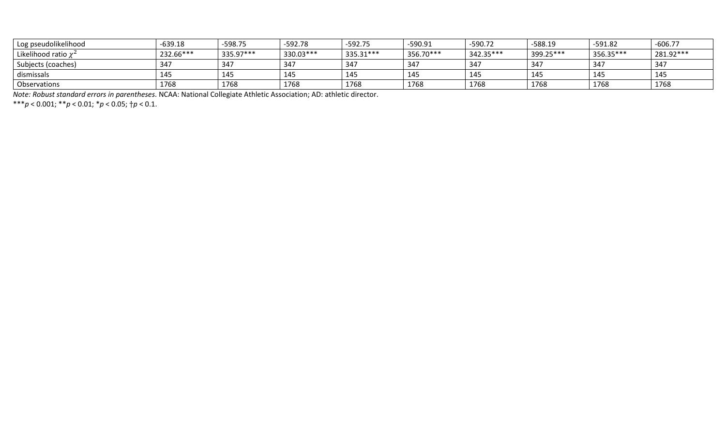| Log pseudolikelihood      | $-639.18$ | -598.75   | -592.78   | $-592.75$  | $-590.91$ | $-590.72$ | $-588.19$ | $-591.82$ | $-606.77$ |
|---------------------------|-----------|-----------|-----------|------------|-----------|-----------|-----------|-----------|-----------|
| Likelihood ratio $\chi^2$ | 232.66*** | 335.97*** | 330.03*** | 335.31 *** | 356.70*** | 342.35*** | 399.25*** | 356.35*** | 281.92*** |
| Subjects (coaches)        | 347       | 347       | 347       | 347        | 347       | 347       | 347       | 347       | 347       |
| dismissals                | 145       | 145       | 145       | 145        | 145       | 145       | 145       | 145       | 145       |
| Observations              | 1768      | 1768      | 1768      | 1768       | 1768      | 1768      | 1768      | 1768      | 1768      |

*Note: Robust standard errors in parentheses*. NCAA: National Collegiate Athletic Association; AD: athletic director.

\*\*\**p* < 0.001; \*\**p* < 0.01; \**p* < 0.05; †*p* < 0.1.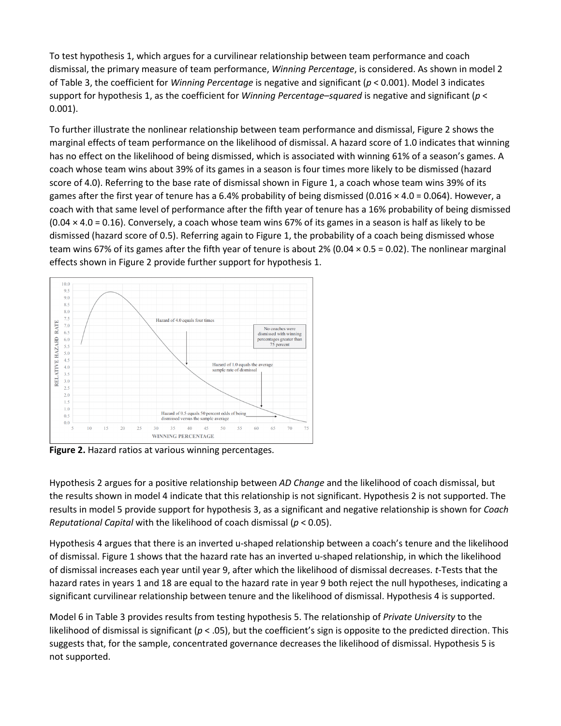To test hypothesis 1, which argues for a curvilinear relationship between team performance and coach dismissal, the primary measure of team performance, *Winning Percentage*, is considered. As shown in model 2 of Table 3, the coefficient for *Winning Percentage* is negative and significant (*p* < 0.001). Model 3 indicates support for hypothesis 1, as the coefficient for *Winning Percentage–squared* is negative and significant (*p* < 0.001).

To further illustrate the nonlinear relationship between team performance and dismissal, Figure 2 shows the marginal effects of team performance on the likelihood of dismissal. A hazard score of 1.0 indicates that winning has no effect on the likelihood of being dismissed, which is associated with winning 61% of a season's games. A coach whose team wins about 39% of its games in a season is four times more likely to be dismissed (hazard score of 4.0). Referring to the base rate of dismissal shown in Figure 1, a coach whose team wins 39% of its games after the first year of tenure has a 6.4% probability of being dismissed (0.016  $\times$  4.0 = 0.064). However, a coach with that same level of performance after the fifth year of tenure has a 16% probability of being dismissed  $(0.04 \times 4.0 = 0.16)$ . Conversely, a coach whose team wins 67% of its games in a season is half as likely to be dismissed (hazard score of 0.5). Referring again to Figure 1, the probability of a coach being dismissed whose team wins 67% of its games after the fifth year of tenure is about 2% (0.04  $\times$  0.5 = 0.02). The nonlinear marginal effects shown in Figure 2 provide further support for hypothesis 1.



**Figure 2.** Hazard ratios at various winning percentages.

Hypothesis 2 argues for a positive relationship between *AD Change* and the likelihood of coach dismissal, but the results shown in model 4 indicate that this relationship is not significant. Hypothesis 2 is not supported. The results in model 5 provide support for hypothesis 3, as a significant and negative relationship is shown for *Coach Reputational Capital* with the likelihood of coach dismissal (*p* < 0.05).

Hypothesis 4 argues that there is an inverted u-shaped relationship between a coach's tenure and the likelihood of dismissal. Figure 1 shows that the hazard rate has an inverted u-shaped relationship, in which the likelihood of dismissal increases each year until year 9, after which the likelihood of dismissal decreases. *t*-Tests that the hazard rates in years 1 and 18 are equal to the hazard rate in year 9 both reject the null hypotheses, indicating a significant curvilinear relationship between tenure and the likelihood of dismissal. Hypothesis 4 is supported.

Model 6 in Table 3 provides results from testing hypothesis 5. The relationship of *Private University* to the likelihood of dismissal is significant ( $p < .05$ ), but the coefficient's sign is opposite to the predicted direction. This suggests that, for the sample, concentrated governance decreases the likelihood of dismissal. Hypothesis 5 is not supported.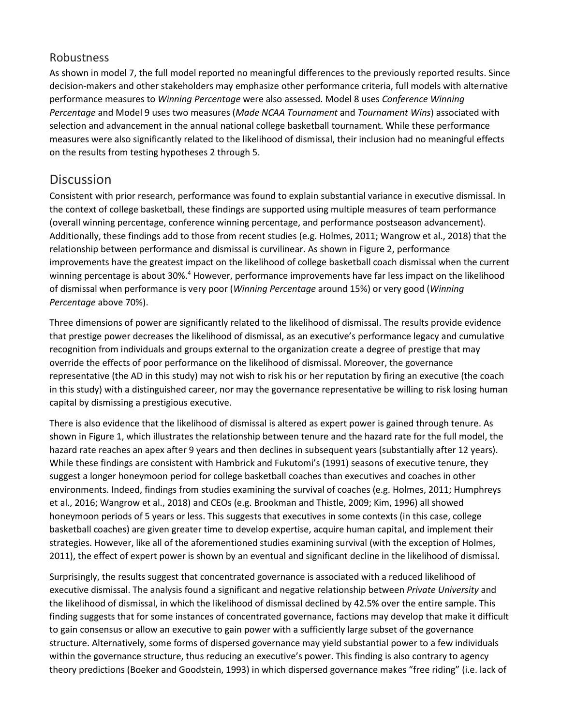#### Robustness

As shown in model 7, the full model reported no meaningful differences to the previously reported results. Since decision-makers and other stakeholders may emphasize other performance criteria, full models with alternative performance measures to *Winning Percentage* were also assessed. Model 8 uses *Conference Winning Percentage* and Model 9 uses two measures (*Made NCAA Tournament* and *Tournament Wins*) associated with selection and advancement in the annual national college basketball tournament. While these performance measures were also significantly related to the likelihood of dismissal, their inclusion had no meaningful effects on the results from testing hypotheses 2 through 5.

#### **Discussion**

Consistent with prior research, performance was found to explain substantial variance in executive dismissal. In the context of college basketball, these findings are supported using multiple measures of team performance (overall winning percentage, conference winning percentage, and performance postseason advancement). Additionally, these findings add to those from recent studies (e.g. Holmes, 2011; Wangrow et al., 2018) that the relationship between performance and dismissal is curvilinear. As shown in Figure 2, performance improvements have the greatest impact on the likelihood of college basketball coach dismissal when the current winning percentage is about 30%.<sup>4</sup> However, performance improvements have far less impact on the likelihood of dismissal when performance is very poor (*Winning Percentage* around 15%) or very good (*Winning Percentage* above 70%).

Three dimensions of power are significantly related to the likelihood of dismissal. The results provide evidence that prestige power decreases the likelihood of dismissal, as an executive's performance legacy and cumulative recognition from individuals and groups external to the organization create a degree of prestige that may override the effects of poor performance on the likelihood of dismissal. Moreover, the governance representative (the AD in this study) may not wish to risk his or her reputation by firing an executive (the coach in this study) with a distinguished career, nor may the governance representative be willing to risk losing human capital by dismissing a prestigious executive.

There is also evidence that the likelihood of dismissal is altered as expert power is gained through tenure. As shown in Figure 1, which illustrates the relationship between tenure and the hazard rate for the full model, the hazard rate reaches an apex after 9 years and then declines in subsequent years (substantially after 12 years). While these findings are consistent with Hambrick and Fukutomi's (1991) seasons of executive tenure, they suggest a longer honeymoon period for college basketball coaches than executives and coaches in other environments. Indeed, findings from studies examining the survival of coaches (e.g. Holmes, 2011; Humphreys et al., 2016; Wangrow et al., 2018) and CEOs (e.g. Brookman and Thistle, 2009; Kim, 1996) all showed honeymoon periods of 5 years or less. This suggests that executives in some contexts (in this case, college basketball coaches) are given greater time to develop expertise, acquire human capital, and implement their strategies. However, like all of the aforementioned studies examining survival (with the exception of Holmes, 2011), the effect of expert power is shown by an eventual and significant decline in the likelihood of dismissal.

Surprisingly, the results suggest that concentrated governance is associated with a reduced likelihood of executive dismissal. The analysis found a significant and negative relationship between *Private University* and the likelihood of dismissal, in which the likelihood of dismissal declined by 42.5% over the entire sample. This finding suggests that for some instances of concentrated governance, factions may develop that make it difficult to gain consensus or allow an executive to gain power with a sufficiently large subset of the governance structure. Alternatively, some forms of dispersed governance may yield substantial power to a few individuals within the governance structure, thus reducing an executive's power. This finding is also contrary to agency theory predictions (Boeker and Goodstein, 1993) in which dispersed governance makes "free riding" (i.e. lack of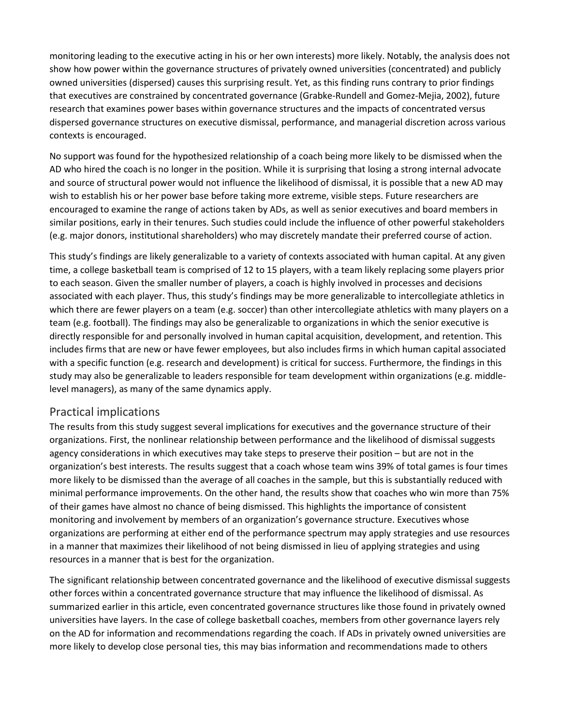monitoring leading to the executive acting in his or her own interests) more likely. Notably, the analysis does not show how power within the governance structures of privately owned universities (concentrated) and publicly owned universities (dispersed) causes this surprising result. Yet, as this finding runs contrary to prior findings that executives are constrained by concentrated governance (Grabke-Rundell and Gomez-Mejia, 2002), future research that examines power bases within governance structures and the impacts of concentrated versus dispersed governance structures on executive dismissal, performance, and managerial discretion across various contexts is encouraged.

No support was found for the hypothesized relationship of a coach being more likely to be dismissed when the AD who hired the coach is no longer in the position. While it is surprising that losing a strong internal advocate and source of structural power would not influence the likelihood of dismissal, it is possible that a new AD may wish to establish his or her power base before taking more extreme, visible steps. Future researchers are encouraged to examine the range of actions taken by ADs, as well as senior executives and board members in similar positions, early in their tenures. Such studies could include the influence of other powerful stakeholders (e.g. major donors, institutional shareholders) who may discretely mandate their preferred course of action.

This study's findings are likely generalizable to a variety of contexts associated with human capital. At any given time, a college basketball team is comprised of 12 to 15 players, with a team likely replacing some players prior to each season. Given the smaller number of players, a coach is highly involved in processes and decisions associated with each player. Thus, this study's findings may be more generalizable to intercollegiate athletics in which there are fewer players on a team (e.g. soccer) than other intercollegiate athletics with many players on a team (e.g. football). The findings may also be generalizable to organizations in which the senior executive is directly responsible for and personally involved in human capital acquisition, development, and retention. This includes firms that are new or have fewer employees, but also includes firms in which human capital associated with a specific function (e.g. research and development) is critical for success. Furthermore, the findings in this study may also be generalizable to leaders responsible for team development within organizations (e.g. middlelevel managers), as many of the same dynamics apply.

#### Practical implications

The results from this study suggest several implications for executives and the governance structure of their organizations. First, the nonlinear relationship between performance and the likelihood of dismissal suggests agency considerations in which executives may take steps to preserve their position – but are not in the organization's best interests. The results suggest that a coach whose team wins 39% of total games is four times more likely to be dismissed than the average of all coaches in the sample, but this is substantially reduced with minimal performance improvements. On the other hand, the results show that coaches who win more than 75% of their games have almost no chance of being dismissed. This highlights the importance of consistent monitoring and involvement by members of an organization's governance structure. Executives whose organizations are performing at either end of the performance spectrum may apply strategies and use resources in a manner that maximizes their likelihood of not being dismissed in lieu of applying strategies and using resources in a manner that is best for the organization.

The significant relationship between concentrated governance and the likelihood of executive dismissal suggests other forces within a concentrated governance structure that may influence the likelihood of dismissal. As summarized earlier in this article, even concentrated governance structures like those found in privately owned universities have layers. In the case of college basketball coaches, members from other governance layers rely on the AD for information and recommendations regarding the coach. If ADs in privately owned universities are more likely to develop close personal ties, this may bias information and recommendations made to others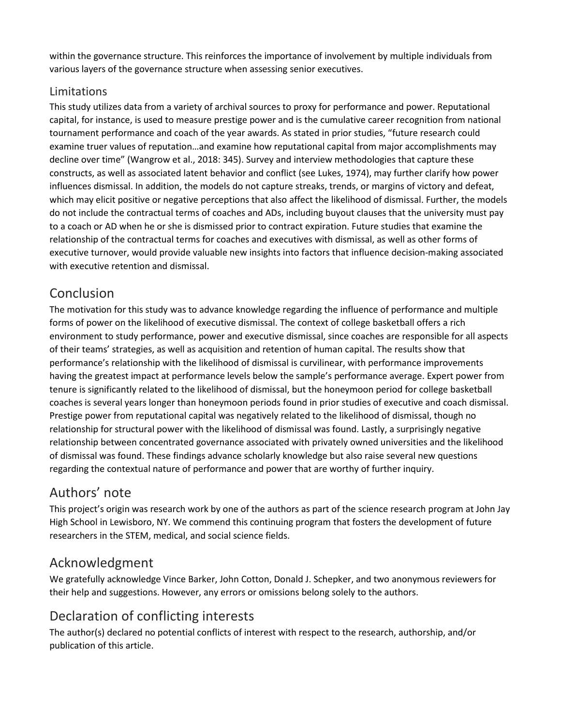within the governance structure. This reinforces the importance of involvement by multiple individuals from various layers of the governance structure when assessing senior executives.

#### Limitations

This study utilizes data from a variety of archival sources to proxy for performance and power. Reputational capital, for instance, is used to measure prestige power and is the cumulative career recognition from national tournament performance and coach of the year awards. As stated in prior studies, "future research could examine truer values of reputation…and examine how reputational capital from major accomplishments may decline over time" (Wangrow et al., 2018: 345). Survey and interview methodologies that capture these constructs, as well as associated latent behavior and conflict (see Lukes, 1974), may further clarify how power influences dismissal. In addition, the models do not capture streaks, trends, or margins of victory and defeat, which may elicit positive or negative perceptions that also affect the likelihood of dismissal. Further, the models do not include the contractual terms of coaches and ADs, including buyout clauses that the university must pay to a coach or AD when he or she is dismissed prior to contract expiration. Future studies that examine the relationship of the contractual terms for coaches and executives with dismissal, as well as other forms of executive turnover, would provide valuable new insights into factors that influence decision-making associated with executive retention and dismissal.

# Conclusion

The motivation for this study was to advance knowledge regarding the influence of performance and multiple forms of power on the likelihood of executive dismissal. The context of college basketball offers a rich environment to study performance, power and executive dismissal, since coaches are responsible for all aspects of their teams' strategies, as well as acquisition and retention of human capital. The results show that performance's relationship with the likelihood of dismissal is curvilinear, with performance improvements having the greatest impact at performance levels below the sample's performance average. Expert power from tenure is significantly related to the likelihood of dismissal, but the honeymoon period for college basketball coaches is several years longer than honeymoon periods found in prior studies of executive and coach dismissal. Prestige power from reputational capital was negatively related to the likelihood of dismissal, though no relationship for structural power with the likelihood of dismissal was found. Lastly, a surprisingly negative relationship between concentrated governance associated with privately owned universities and the likelihood of dismissal was found. These findings advance scholarly knowledge but also raise several new questions regarding the contextual nature of performance and power that are worthy of further inquiry.

## Authors' note

This project's origin was research work by one of the authors as part of the science research program at John Jay High School in Lewisboro, NY. We commend this continuing program that fosters the development of future researchers in the STEM, medical, and social science fields.

## Acknowledgment

We gratefully acknowledge Vince Barker, John Cotton, Donald J. Schepker, and two anonymous reviewers for their help and suggestions. However, any errors or omissions belong solely to the authors.

# Declaration of conflicting interests

The author(s) declared no potential conflicts of interest with respect to the research, authorship, and/or publication of this article.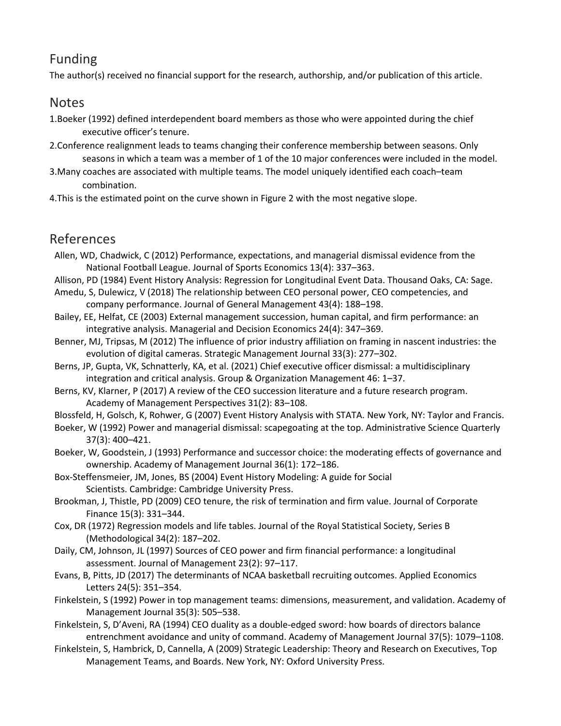# Funding

The author(s) received no financial support for the research, authorship, and/or publication of this article.

#### Notes

- 1.Boeker (1992) defined interdependent board members as those who were appointed during the chief executive officer's tenure.
- 2.Conference realignment leads to teams changing their conference membership between seasons. Only seasons in which a team was a member of 1 of the 10 major conferences were included in the model.
- 3.Many coaches are associated with multiple teams. The model uniquely identified each coach–team combination.
- 4.This is the estimated point on the curve shown in Figure 2 with the most negative slope.

## References

- Allen, WD, Chadwick, C (2012) Performance, expectations, and managerial dismissal evidence from the National Football League. Journal of Sports Economics 13(4): 337–363.
- Allison, PD (1984) Event History Analysis: Regression for Longitudinal Event Data. Thousand Oaks, CA: Sage.
- Amedu, S, Dulewicz, V (2018) The relationship between CEO personal power, CEO competencies, and company performance. Journal of General Management 43(4): 188–198.
- Bailey, EE, Helfat, CE (2003) External management succession, human capital, and firm performance: an integrative analysis. Managerial and Decision Economics 24(4): 347–369.
- Benner, MJ, Tripsas, M (2012) The influence of prior industry affiliation on framing in nascent industries: the evolution of digital cameras. Strategic Management Journal 33(3): 277–302.
- Berns, JP, Gupta, VK, Schnatterly, KA, et al. (2021) Chief executive officer dismissal: a multidisciplinary integration and critical analysis. Group & Organization Management 46: 1–37.
- Berns, KV, Klarner, P (2017) A review of the CEO succession literature and a future research program. Academy of Management Perspectives 31(2): 83–108.
- Blossfeld, H, Golsch, K, Rohwer, G (2007) Event History Analysis with STATA. New York, NY: Taylor and Francis.
- Boeker, W (1992) Power and managerial dismissal: scapegoating at the top. Administrative Science Quarterly 37(3): 400–421.
- Boeker, W, Goodstein, J (1993) Performance and successor choice: the moderating effects of governance and ownership. Academy of Management Journal 36(1): 172–186.
- Box-Steffensmeier, JM, Jones, BS (2004) Event History Modeling: A guide for Social Scientists. Cambridge: Cambridge University Press.
- Brookman, J, Thistle, PD (2009) CEO tenure, the risk of termination and firm value. Journal of Corporate Finance 15(3): 331–344.
- Cox, DR (1972) Regression models and life tables. Journal of the Royal Statistical Society, Series B (Methodological 34(2): 187–202.
- Daily, CM, Johnson, JL (1997) Sources of CEO power and firm financial performance: a longitudinal assessment. Journal of Management 23(2): 97–117.
- Evans, B, Pitts, JD (2017) The determinants of NCAA basketball recruiting outcomes. Applied Economics Letters 24(5): 351–354.
- Finkelstein, S (1992) Power in top management teams: dimensions, measurement, and validation. Academy of Management Journal 35(3): 505–538.
- Finkelstein, S, D'Aveni, RA (1994) CEO duality as a double-edged sword: how boards of directors balance entrenchment avoidance and unity of command. Academy of Management Journal 37(5): 1079–1108.
- Finkelstein, S, Hambrick, D, Cannella, A (2009) Strategic Leadership: Theory and Research on Executives, Top Management Teams, and Boards. New York, NY: Oxford University Press.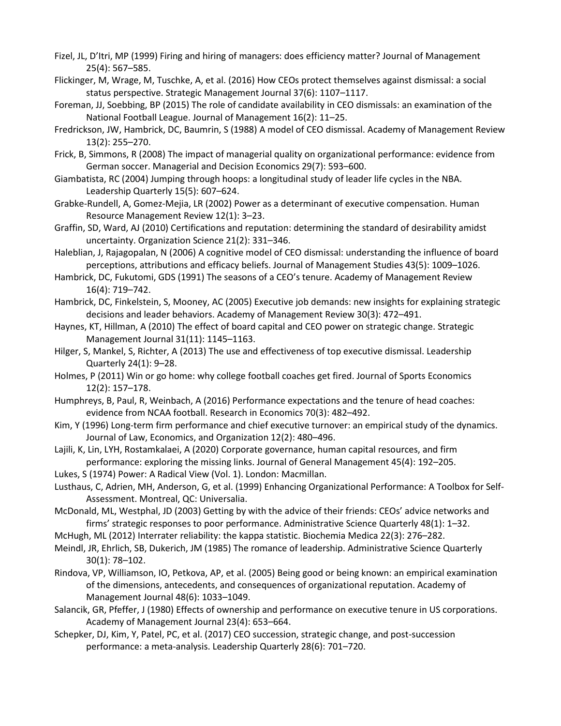- Fizel, JL, D'Itri, MP (1999) Firing and hiring of managers: does efficiency matter? Journal of Management 25(4): 567–585.
- Flickinger, M, Wrage, M, Tuschke, A, et al. (2016) How CEOs protect themselves against dismissal: a social status perspective. Strategic Management Journal 37(6): 1107–1117.
- Foreman, JJ, Soebbing, BP (2015) The role of candidate availability in CEO dismissals: an examination of the National Football League. Journal of Management 16(2): 11–25.
- Fredrickson, JW, Hambrick, DC, Baumrin, S (1988) A model of CEO dismissal. Academy of Management Review 13(2): 255–270.
- Frick, B, Simmons, R (2008) The impact of managerial quality on organizational performance: evidence from German soccer. Managerial and Decision Economics 29(7): 593–600.
- Giambatista, RC (2004) Jumping through hoops: a longitudinal study of leader life cycles in the NBA. Leadership Quarterly 15(5): 607–624.
- Grabke-Rundell, A, Gomez-Mejia, LR (2002) Power as a determinant of executive compensation. Human Resource Management Review 12(1): 3–23.
- Graffin, SD, Ward, AJ (2010) Certifications and reputation: determining the standard of desirability amidst uncertainty. Organization Science 21(2): 331–346.
- Haleblian, J, Rajagopalan, N (2006) A cognitive model of CEO dismissal: understanding the influence of board perceptions, attributions and efficacy beliefs. Journal of Management Studies 43(5): 1009–1026.
- Hambrick, DC, Fukutomi, GDS (1991) The seasons of a CEO's tenure. Academy of Management Review 16(4): 719–742.
- Hambrick, DC, Finkelstein, S, Mooney, AC (2005) Executive job demands: new insights for explaining strategic decisions and leader behaviors. Academy of Management Review 30(3): 472–491.
- Haynes, KT, Hillman, A (2010) The effect of board capital and CEO power on strategic change. Strategic Management Journal 31(11): 1145–1163.
- Hilger, S, Mankel, S, Richter, A (2013) The use and effectiveness of top executive dismissal. Leadership Quarterly 24(1): 9–28.
- Holmes, P (2011) Win or go home: why college football coaches get fired. Journal of Sports Economics 12(2): 157–178.
- Humphreys, B, Paul, R, Weinbach, A (2016) Performance expectations and the tenure of head coaches: evidence from NCAA football. Research in Economics 70(3): 482–492.
- Kim, Y (1996) Long-term firm performance and chief executive turnover: an empirical study of the dynamics. Journal of Law, Economics, and Organization 12(2): 480–496.
- Lajili, K, Lin, LYH, Rostamkalaei, A (2020) Corporate governance, human capital resources, and firm performance: exploring the missing links. Journal of General Management 45(4): 192–205.
- Lukes, S (1974) Power: A Radical View (Vol. 1). London: Macmillan.
- Lusthaus, C, Adrien, MH, Anderson, G, et al. (1999) Enhancing Organizational Performance: A Toolbox for Self-Assessment. Montreal, QC: Universalia.
- McDonald, ML, Westphal, JD (2003) Getting by with the advice of their friends: CEOs' advice networks and firms' strategic responses to poor performance. Administrative Science Quarterly 48(1): 1–32.
- McHugh, ML (2012) Interrater reliability: the kappa statistic. Biochemia Medica 22(3): 276–282.
- Meindl, JR, Ehrlich, SB, Dukerich, JM (1985) The romance of leadership. Administrative Science Quarterly 30(1): 78–102.
- Rindova, VP, Williamson, IO, Petkova, AP, et al. (2005) Being good or being known: an empirical examination of the dimensions, antecedents, and consequences of organizational reputation. Academy of Management Journal 48(6): 1033–1049.
- Salancik, GR, Pfeffer, J (1980) Effects of ownership and performance on executive tenure in US corporations. Academy of Management Journal 23(4): 653–664.
- Schepker, DJ, Kim, Y, Patel, PC, et al. (2017) CEO succession, strategic change, and post-succession performance: a meta-analysis. Leadership Quarterly 28(6): 701–720.